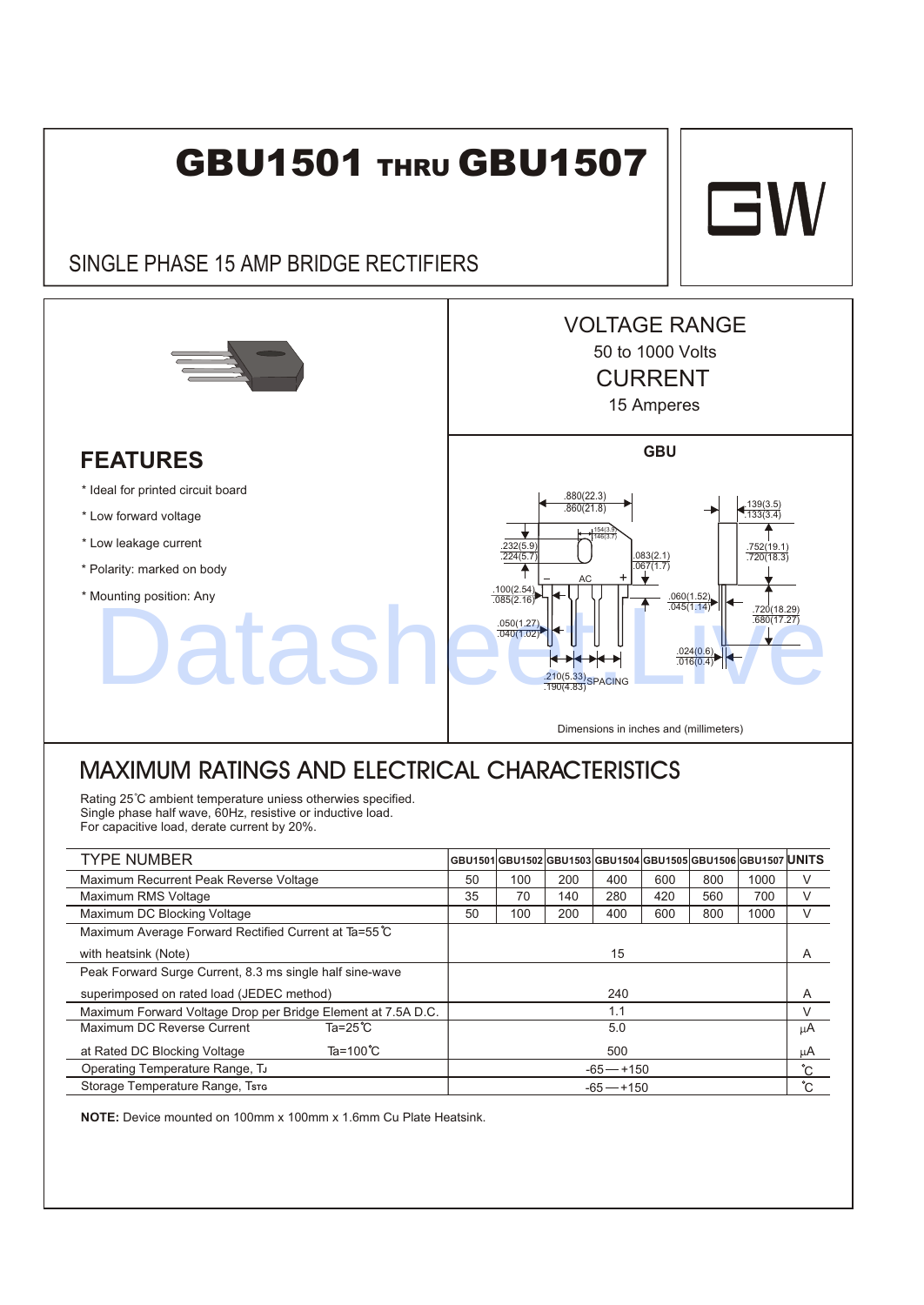## **GBU1501 THRU GBU1507**

## SINGLE PHASE 15 AMP BRIDGE RECTIFIERS



## **FEATURES**

\* Ideal for printed circuit board

- \* Low forward voltage
- \* Low leakage current
- \* Polarity: marked on body
- \* Mounting position: Any



Dimensions in inches and (millimeters)

## MAXIMUM RATINGS AND ELECTRICAL CHARACTERISTICS

Rating 25°C ambient temperature uniess otherwies specified. Single phase half wave, 60Hz, resistive or inductive load. For capacitive load, derate current by 20%.

| <b>TYPE NUMBER</b>                                           |              |     |     |     |     | GBU1501 GBU1502 GBU1503 GBU1504 GBU1505 GBU1506 GBU1507  <b>UNITS</b> |      |     |
|--------------------------------------------------------------|--------------|-----|-----|-----|-----|-----------------------------------------------------------------------|------|-----|
| Maximum Recurrent Peak Reverse Voltage                       | 50           | 100 | 200 | 400 | 600 | 800                                                                   | 1000 | V   |
| Maximum RMS Voltage                                          | 35           | 70  | 140 | 280 | 420 | 560                                                                   | 700  | V   |
| Maximum DC Blocking Voltage                                  | 50           | 100 | 200 | 400 | 600 | 800                                                                   | 1000 | V   |
| Maximum Average Forward Rectified Current at Ta=55 C         |              |     |     |     |     |                                                                       |      |     |
| with heatsink (Note)                                         | 15           |     |     |     |     |                                                                       |      | A   |
| Peak Forward Surge Current, 8.3 ms single half sine-wave     |              |     |     |     |     |                                                                       |      |     |
| superimposed on rated load (JEDEC method)                    | 240          |     |     |     |     | A                                                                     |      |     |
| Maximum Forward Voltage Drop per Bridge Element at 7.5A D.C. | 1.1          |     |     |     |     |                                                                       |      |     |
| Ta= $25^{\circ}$ C<br>Maximum DC Reverse Current             | 5.0          |     |     |     |     |                                                                       |      | μA  |
| Ta=100 $^{\circ}$ C<br>at Rated DC Blocking Voltage          | 500          |     |     |     |     |                                                                       |      | μA  |
| Operating Temperature Range, TJ                              | $-65 - +150$ |     |     |     |     |                                                                       |      | °С  |
| Storage Temperature Range, Tsre                              | $-65 - +150$ |     |     |     |     |                                                                       |      | °C. |

**NOTE:** Device mounted on 100mm x 100mm x 1.6mm Cu Plate Heatsink.

**GW**